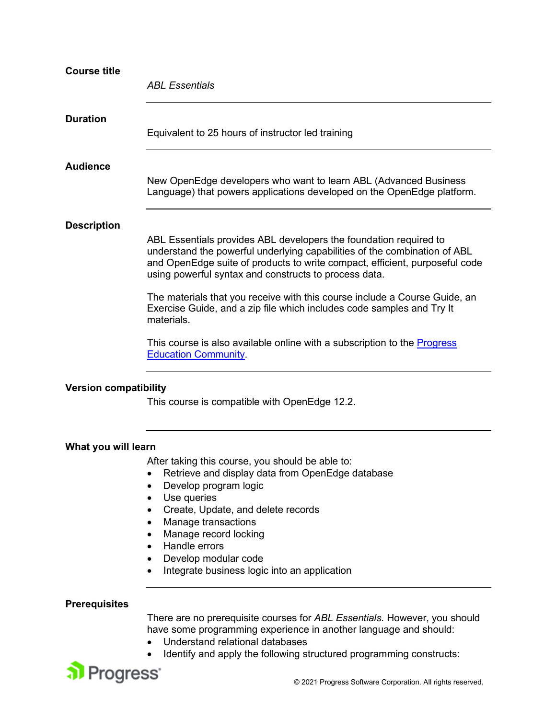| <b>Course title</b>                                | <b>ABL Essentials</b>                                                                                                                                                                                                                                                                                                                                                                                                                                                                                                                                                                                                         |
|----------------------------------------------------|-------------------------------------------------------------------------------------------------------------------------------------------------------------------------------------------------------------------------------------------------------------------------------------------------------------------------------------------------------------------------------------------------------------------------------------------------------------------------------------------------------------------------------------------------------------------------------------------------------------------------------|
| <b>Duration</b>                                    | Equivalent to 25 hours of instructor led training                                                                                                                                                                                                                                                                                                                                                                                                                                                                                                                                                                             |
| <b>Audience</b>                                    | New OpenEdge developers who want to learn ABL (Advanced Business<br>Language) that powers applications developed on the OpenEdge platform.                                                                                                                                                                                                                                                                                                                                                                                                                                                                                    |
| <b>Description</b><br><b>Version compatibility</b> | ABL Essentials provides ABL developers the foundation required to<br>understand the powerful underlying capabilities of the combination of ABL<br>and OpenEdge suite of products to write compact, efficient, purposeful code<br>using powerful syntax and constructs to process data.<br>The materials that you receive with this course include a Course Guide, an<br>Exercise Guide, and a zip file which includes code samples and Try It<br>materials.<br>This course is also available online with a subscription to the <b>Progress</b><br><b>Education Community</b><br>This course is compatible with OpenEdge 12.2. |
|                                                    |                                                                                                                                                                                                                                                                                                                                                                                                                                                                                                                                                                                                                               |
| What you will learn                                | After taking this course, you should be able to:<br>Retrieve and display data from OpenEdge database<br>Develop program logic<br>Use queries<br>Create, Update, and delete records<br>Manage transactions<br>$\bullet$<br>Manage record locking<br>Handle errors<br>Develop modular code<br>Integrate business logic into an application                                                                                                                                                                                                                                                                                      |
| <b>Prerequisites</b>                               |                                                                                                                                                                                                                                                                                                                                                                                                                                                                                                                                                                                                                               |
|                                                    | There are no prerequisite courses for ABL Essentials. However, you should<br>have some programming experience in another language and should:<br>Understand relational databases<br>Identify and apply the following structured programming constructs:                                                                                                                                                                                                                                                                                                                                                                       |
| Progress <sup>®</sup>                              | © 2021 Progress Software Corporation All rights reserved                                                                                                                                                                                                                                                                                                                                                                                                                                                                                                                                                                      |